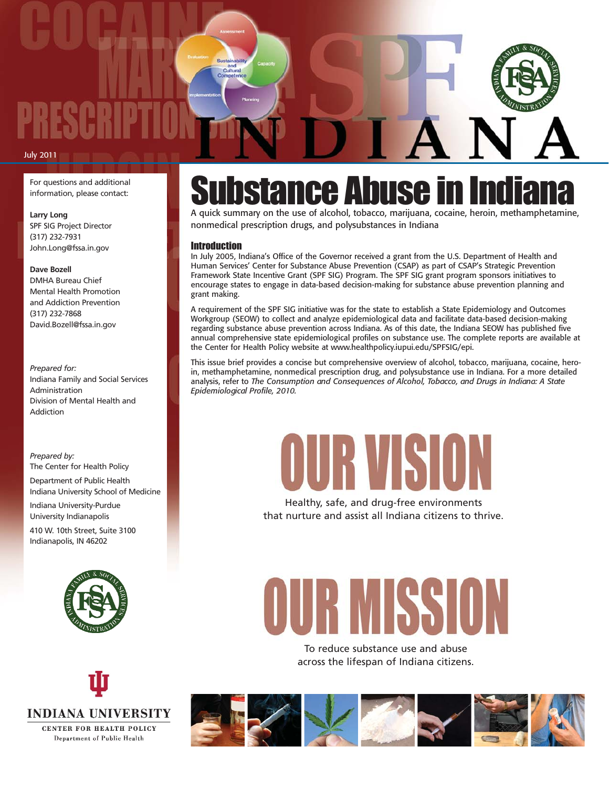#### July 2011

For questions and additional information, please contact:

#### **Larry Long**

SPF SIG Project Director (317) 232-7931 John.Long@fssa.in.gov

#### **Dave Bozell**

DMHA Bureau Chief Mental Health Promotion and Addiction Prevention (317) 232-7868 David.Bozell@fssa.in.gov

#### *Prepared for:* Indiana Family and Social Services Administration Division of Mental Health and Addiction

#### *Prepared by:* The Center for Health Policy

Department of Public Health Indiana University School of Medicine Indiana University-Purdue University Indianapolis

410 W. 10th Street, Suite 3100 Indianapolis, IN 46202





### **bstance Abuse in I**n

A quick summary on the use of alcohol, tobacco, marijuana, cocaine, heroin, methamphetamine, nonmedical prescription drugs, and polysubstances in Indiana

#### Introduction

In July 2005, Indiana's Office of the Governor received a grant from the U.S. Department of Health and Human Services' Center for Substance Abuse Prevention (CSAP) as part of CSAP's Strategic Prevention Framework State Incentive Grant (SPF SIG) Program. The SPF SIG grant program sponsors initiatives to encourage states to engage in data-based decision-making for substance abuse prevention planning and grant making.

A requirement of the SPF SIG initiative was for the state to establish a State Epidemiology and Outcomes Workgroup (SEOW) to collect and analyze epidemiological data and facilitate data-based decision-making regarding substance abuse prevention across Indiana. As of this date, the Indiana SEOW has published five annual comprehensive state epidemiological profiles on substance use. The complete reports are available at the Center for Health Policy website at www.healthpolicy.iupui.edu/SPFSIG/epi.

This issue brief provides a concise but comprehensive overview of alcohol, tobacco, marijuana, cocaine, heroin, methamphetamine, nonmedical prescription drug, and polysubstance use in Indiana. For a more detailed analysis, refer to *The Consumption and Consequences of Alcohol, Tobacco, and Drugs in Indiana: A State Epidemiological Profile, 2010.*

# OURVISION

Healthy, safe, and drug-free environments that nurture and assist all Indiana citizens to thrive.

# DUR MISSION

To reduce substance use and abuse across the lifespan of Indiana citizens.

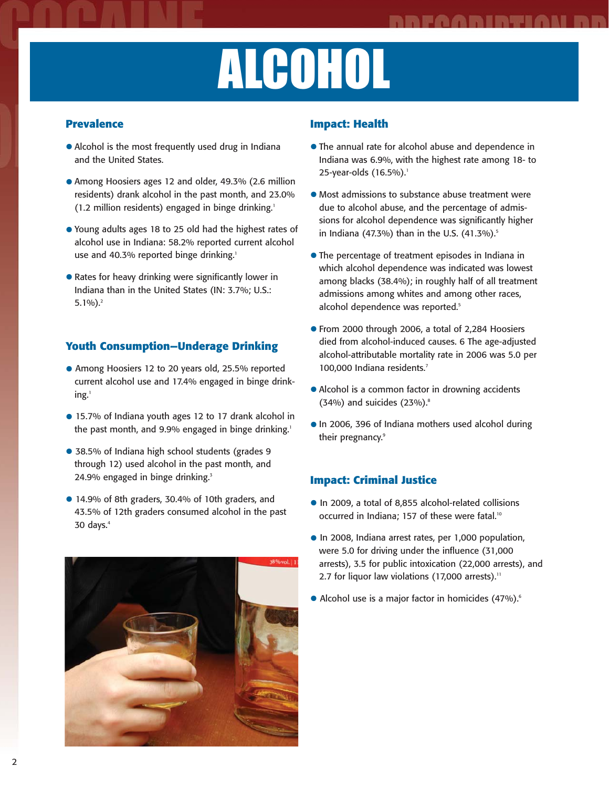# ALCOHOL

#### **Prevalence**

- Alcohol is the most frequently used drug in Indiana and the United States.
- Among Hoosiers ages 12 and older, 49.3% (2.6 million residents) drank alcohol in the past month, and 23.0% (1.2 million residents) engaged in binge drinking.<sup>1</sup>
- Young adults ages 18 to 25 old had the highest rates of alcohol use in Indiana: 58.2% reported current alcohol use and 40.3% reported binge drinking.<sup>1</sup>
- Rates for heavy drinking were significantly lower in Indiana than in the United States (IN: 3.7%; U.S.:  $5.1\%$ ).<sup>2</sup>

### **Youth Consumption—Underage Drinking**

- Among Hoosiers 12 to 20 years old, 25.5% reported current alcohol use and 17.4% engaged in binge drinking.<sup>1</sup>
- 15.7% of Indiana youth ages 12 to 17 drank alcohol in the past month, and 9.9% engaged in binge drinking.<sup>1</sup>
- 38.5% of Indiana high school students (grades 9 through 12) used alcohol in the past month, and 24.9% engaged in binge drinking.<sup>3</sup>
- 14.9% of 8th graders, 30.4% of 10th graders, and 43.5% of 12th graders consumed alcohol in the past 30 days. $4$



#### **Impact: Health**

- The annual rate for alcohol abuse and dependence in Indiana was 6.9%, with the highest rate among 18- to 25-year-olds (16.5%).<sup>1</sup>
- Most admissions to substance abuse treatment were due to alcohol abuse, and the percentage of admissions for alcohol dependence was significantly higher in Indiana (47.3%) than in the U.S.  $(41.3\%)$ .<sup>5</sup>
- The percentage of treatment episodes in Indiana in which alcohol dependence was indicated was lowest among blacks (38.4%); in roughly half of all treatment admissions among whites and among other races, alcohol dependence was reported.<sup>5</sup>
- From 2000 through 2006, a total of 2,284 Hoosiers died from alcohol-induced causes. 6 The age-adjusted alcohol-attributable mortality rate in 2006 was 5.0 per 100,000 Indiana residents.<sup>7</sup>
- Alcohol is a common factor in drowning accidents  $(34%)$  and suicides  $(23%)$ .<sup>8</sup>
- •In 2006, 396 of Indiana mothers used alcohol during their pregnancy.<sup>9</sup>

- •In 2009, a total of 8,855 alcohol-related collisions occurred in Indiana; 157 of these were fatal.<sup>10</sup>
- •In 2008, Indiana arrest rates, per 1,000 population, were 5.0 for driving under the influence (31,000 arrests), 3.5 for public intoxication (22,000 arrests), and 2.7 for liquor law violations (17,000 arrests).<sup>11</sup>
- Alcohol use is a major factor in homicides (47%).<sup>6</sup>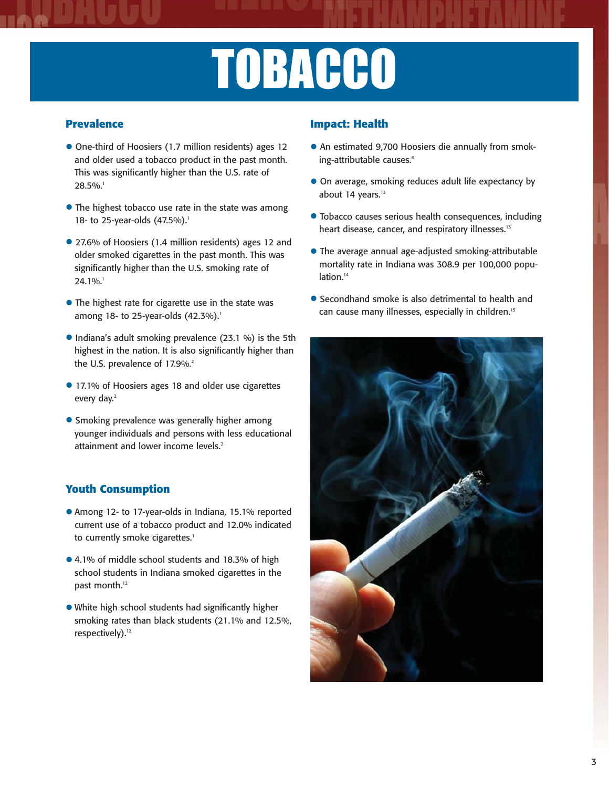# **TOBACCO**

### **Prevalence**

- One-third of Hoosiers (1.7 million residents) ages 12 and older used a tobacco product in the past month. This was significantly higher than the U.S. rate of 28.5%.<sup>1</sup>
- The highest tobacco use rate in the state was among 18- to 25-year-olds (47.5%).<sup>1</sup>
- 27.6% of Hoosiers (1.4 million residents) ages 12 and older smoked cigarettes in the past month. This was significantly higher than the U.S. smoking rate of 24.1%.<sup>1</sup>
- The highest rate for cigarette use in the state was among 18- to 25-year-olds  $(42.3\%)$ .<sup>1</sup>
- Indiana's adult smoking prevalence (23.1 %) is the 5th highest in the nation. It is also significantly higher than the U.S. prevalence of 17.9%.<sup>2</sup>
- 17.1% of Hoosiers ages 18 and older use cigarettes every day.<sup>2</sup>
- Smoking prevalence was generally higher among younger individuals and persons with less educational attainment and lower income levels.<sup>2</sup>

### **Youth Consumption**

- Among 12- to 17-year-olds in Indiana, 15.1% reported current use of a tobacco product and 12.0% indicated to currently smoke cigarettes.<sup>1</sup>
- 4.1% of middle school students and 18.3% of high school students in Indiana smoked cigarettes in the past month.<sup>12</sup>
- White high school students had significantly higher smoking rates than black students (21.1% and 12.5%, respectively).<sup>12</sup>

### **Impact: Health**

- An estimated 9,700 Hoosiers die annually from smoking-attributable causes.<sup>6</sup>
- On average, smoking reduces adult life expectancy by about 14 years. $13$
- Tobacco causes serious health consequences, including heart disease, cancer, and respiratory illnesses.<sup>13</sup>
- The average annual age-adjusted smoking-attributable mortality rate in Indiana was 308.9 per 100,000 population.<sup>14</sup>
- Secondhand smoke is also detrimental to health and can cause many illnesses, especially in children.<sup>15</sup>

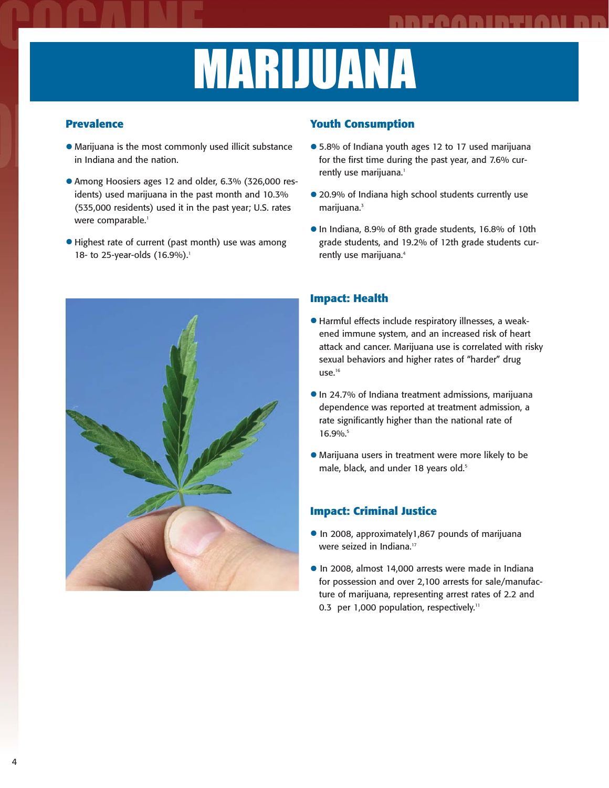## MARIJUANA

### **Prevalence**

- Marijuana is the most commonly used illicit substance in Indiana and the nation.
- Among Hoosiers ages 12 and older, 6.3% (326,000 residents) used marijuana in the past month and 10.3% (535,000 residents) used it in the past year; U.S. rates were comparable.<sup>1</sup>
- Highest rate of current (past month) use was among 18- to 25-year-olds (16.9%).<sup>1</sup>



#### **Youth Consumption**

- 5.8% of Indiana youth ages 12 to 17 used marijuana for the first time during the past year, and 7.6% currently use marijuana.<sup>1</sup>
- 20.9% of Indiana high school students currently use marijuana.<sup>3</sup>
- •In Indiana, 8.9% of 8th grade students, 16.8% of 10th grade students, and 19.2% of 12th grade students currently use marijuana.<sup>4</sup>

### **Impact: Health**

- Harmful effects include respiratory illnesses, a weakened immune system, and an increased risk of heart attack and cancer. Marijuana use is correlated with risky sexual behaviors and higher rates of "harder" drug use.<sup>16</sup>
- •In 24.7% of Indiana treatment admissions, marijuana dependence was reported at treatment admission, a rate significantly higher than the national rate of 16.9%.
- Marijuana users in treatment were more likely to be male, black, and under 18 years old.<sup>5</sup>

- •In 2008, approximately1,867 pounds of marijuana were seized in Indiana.<sup>17</sup>
- •In 2008, almost 14,000 arrests were made in Indiana for possession and over 2,100 arrests for sale/manufacture of marijuana, representing arrest rates of 2.2 and 0.3 per 1,000 population, respectively.<sup>11</sup>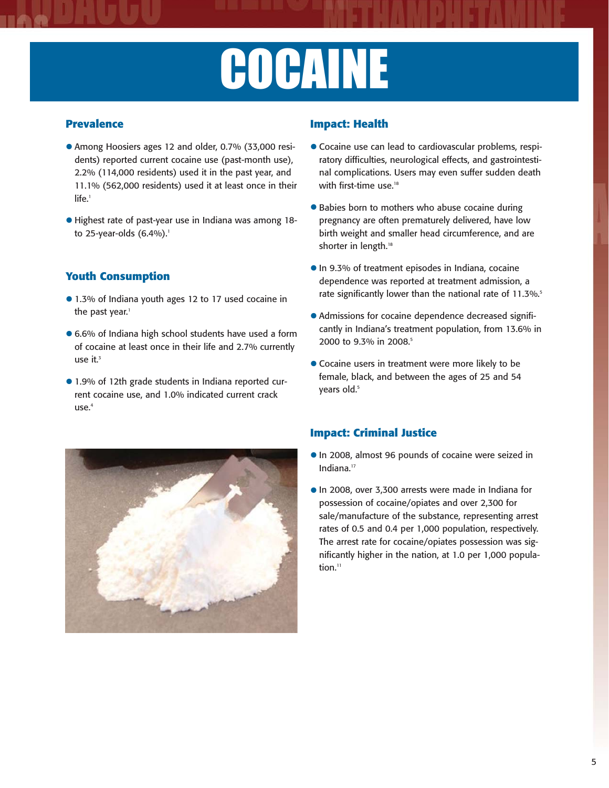# COCAINE

#### **Prevalence**

- Among Hoosiers ages 12 and older, 0.7% (33,000 residents) reported current cocaine use (past-month use), 2.2% (114,000 residents) used it in the past year, and 11.1% (562,000 residents) used it at least once in their life.<sup>1</sup>
- Highest rate of past-year use in Indiana was among 18 to 25-year-olds  $(6.4\%)$ .<sup>1</sup>

### **Youth Consumption**

- 1.3% of Indiana youth ages 12 to 17 used cocaine in the past year.<sup>1</sup>
- 6.6% of Indiana high school students have used a form of cocaine at least once in their life and 2.7% currently use  $it^3$
- 1.9% of 12th grade students in Indiana reported current cocaine use, and 1.0% indicated current crack  $use.<sup>4</sup>$

#### **Impact: Health**

- Cocaine use can lead to cardiovascular problems, respiratory difficulties, neurological effects, and gastrointestinal complications. Users may even suffer sudden death with first-time use.<sup>18</sup>
- Babies born to mothers who abuse cocaine during pregnancy are often prematurely delivered, have low birth weight and smaller head circumference, and are shorter in length.<sup>18</sup>
- **•** In 9.3% of treatment episodes in Indiana, cocaine dependence was reported at treatment admission, a rate significantly lower than the national rate of 11.3%.<sup>5</sup>
- Admissions for cocaine dependence decreased significantly in Indiana's treatment population, from 13.6% in 2000 to 9.3% in 2008.<sup>5</sup>
- Cocaine users in treatment were more likely to be female, black, and between the ages of 25 and 54 vears old.<sup>5</sup>



- •In 2008, almost 96 pounds of cocaine were seized in Indiana.17
- •In 2008, over 3,300 arrests were made in Indiana for possession of cocaine/opiates and over 2,300 for sale/manufacture of the substance, representing arrest rates of 0.5 and 0.4 per 1,000 population, respectively. The arrest rate for cocaine/opiates possession was significantly higher in the nation, at 1.0 per 1,000 population.<sup>11</sup>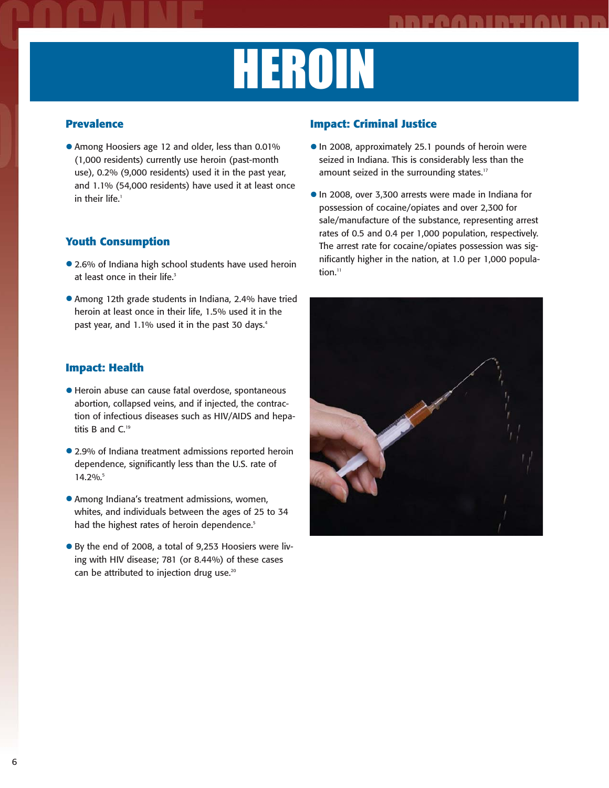# HEROIN

#### **Prevalence**

• Among Hoosiers age 12 and older, less than 0.01% (1,000 residents) currently use heroin (past-month use), 0.2% (9,000 residents) used it in the past year, and 1.1% (54,000 residents) have used it at least once in their life.<sup>1</sup>

### **Youth Consumption**

- 2.6% of Indiana high school students have used heroin at least once in their life.<sup>3</sup>
- Among 12th grade students in Indiana, 2.4% have tried heroin at least once in their life, 1.5% used it in the past year, and 1.1% used it in the past 30 days.<sup>4</sup>

#### **Impact: Health**

- Heroin abuse can cause fatal overdose, spontaneous abortion, collapsed veins, and if injected, the contraction of infectious diseases such as HIV/AIDS and hepatitis B and C.<sup>19</sup>
- 2.9% of Indiana treatment admissions reported heroin dependence, significantly less than the U.S. rate of 14.2%.5
- Among Indiana's treatment admissions, women, whites, and individuals between the ages of 25 to 34 had the highest rates of heroin dependence.<sup>5</sup>
- By the end of 2008, a total of 9,253 Hoosiers were living with HIV disease; 781 (or 8.44%) of these cases can be attributed to injection drug use.<sup>20</sup>

- In 2008, approximately 25.1 pounds of heroin were seized in Indiana. This is considerably less than the amount seized in the surrounding states.<sup>17</sup>
- •In 2008, over 3,300 arrests were made in Indiana for possession of cocaine/opiates and over 2,300 for sale/manufacture of the substance, representing arrest rates of 0.5 and 0.4 per 1,000 population, respectively. The arrest rate for cocaine/opiates possession was significantly higher in the nation, at 1.0 per 1,000 population. $<sup>11</sup>$ </sup>

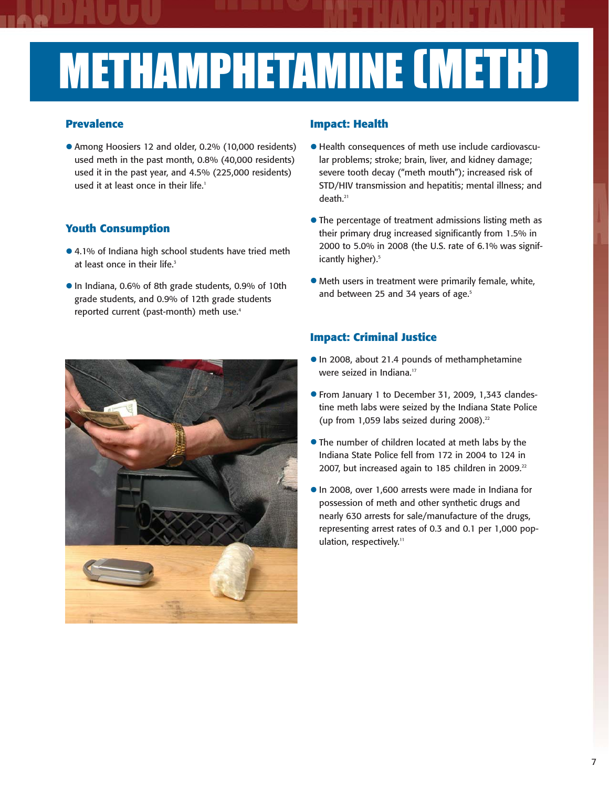# METHAMPHETAMINE (METH)

#### **Prevalence**

• Among Hoosiers 12 and older, 0.2% (10,000 residents) used meth in the past month, 0.8% (40,000 residents) used it in the past year, and 4.5% (225,000 residents) used it at least once in their life.<sup>1</sup>

### **Youth Consumption**

- 4.1% of Indiana high school students have tried meth at least once in their life. $3$
- •In Indiana, 0.6% of 8th grade students, 0.9% of 10th grade students, and 0.9% of 12th grade students reported current (past-month) meth use.<sup>4</sup>



#### **Impact: Health**

- Health consequences of meth use include cardiovascular problems; stroke; brain, liver, and kidney damage; severe tooth decay ("meth mouth"); increased risk of STD/HIV transmission and hepatitis; mental illness; and death.21
- The percentage of treatment admissions listing meth as their primary drug increased significantly from 1.5% in 2000 to 5.0% in 2008 (the U.S. rate of 6.1% was significantly higher).<sup>5</sup>
- Meth users in treatment were primarily female, white, and between 25 and 34 years of age.<sup>5</sup>

- •In 2008, about 21.4 pounds of methamphetamine were seized in Indiana.<sup>17</sup>
- From January 1 to December 31, 2009, 1,343 clandestine meth labs were seized by the Indiana State Police (up from 1,059 labs seized during 2008). $22$
- The number of children located at meth labs by the Indiana State Police fell from 172 in 2004 to 124 in 2007, but increased again to 185 children in 2009.<sup>22</sup>
- •In 2008, over 1,600 arrests were made in Indiana for possession of meth and other synthetic drugs and nearly 630 arrests for sale/manufacture of the drugs, representing arrest rates of 0.3 and 0.1 per 1,000 population, respectively.<sup>11</sup>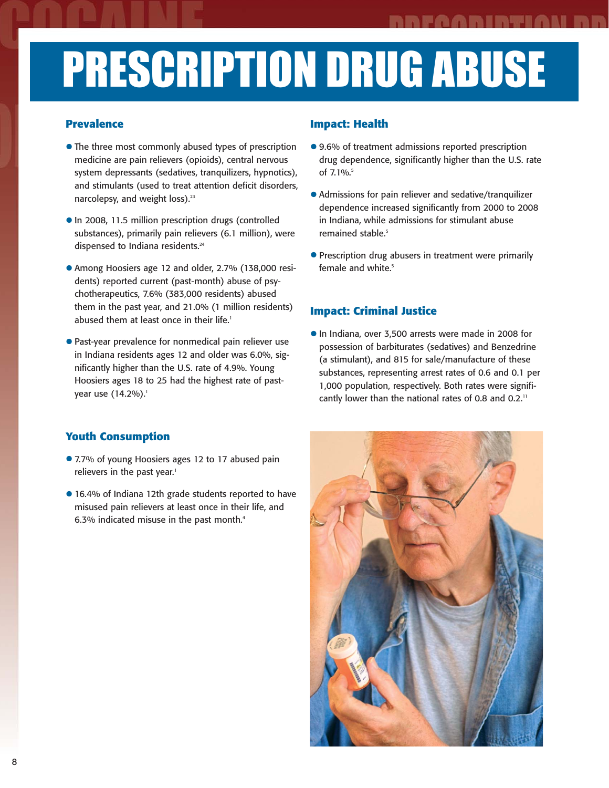## PRESCRIPTION DRUG ABUSE

#### **Prevalence**

- The three most commonly abused types of prescription medicine are pain relievers (opioids), central nervous system depressants (sedatives, tranquilizers, hypnotics), and stimulants (used to treat attention deficit disorders, narcolepsy, and weight loss).<sup>23</sup>
- In 2008, 11.5 million prescription drugs (controlled substances), primarily pain relievers (6.1 million), were dispensed to Indiana residents.<sup>24</sup>
- Among Hoosiers age 12 and older, 2.7% (138,000 residents) reported current (past-month) abuse of psychotherapeutics, 7.6% (383,000 residents) abused them in the past year, and 21.0% (1 million residents) abused them at least once in their life.<sup>1</sup>
- Past-year prevalence for nonmedical pain reliever use in Indiana residents ages 12 and older was 6.0%, significantly higher than the U.S. rate of 4.9%. Young Hoosiers ages 18 to 25 had the highest rate of pastyear use (14.2%).<sup>1</sup>

#### **Impact: Health**

- 9.6% of treatment admissions reported prescription drug dependence, significantly higher than the U.S. rate of 7.1%.<sup>5</sup>
- Admissions for pain reliever and sedative/tranquilizer dependence increased significantly from 2000 to 2008 in Indiana, while admissions for stimulant abuse remained stable.<sup>5</sup>
- Prescription drug abusers in treatment were primarily female and white.<sup>5</sup>

### **Impact: Criminal Justice**

•In Indiana, over 3,500 arrests were made in 2008 for possession of barbiturates (sedatives) and Benzedrine (a stimulant), and 815 for sale/manufacture of these substances, representing arrest rates of 0.6 and 0.1 per 1,000 population, respectively. Both rates were significantly lower than the national rates of 0.8 and 0.2.<sup>11</sup>

### **Youth Consumption**

- 7.7% of young Hoosiers ages 12 to 17 abused pain relievers in the past year.<sup>1</sup>
- 16.4% of Indiana 12th grade students reported to have misused pain relievers at least once in their life, and 6.3% indicated misuse in the past month.<sup>4</sup>

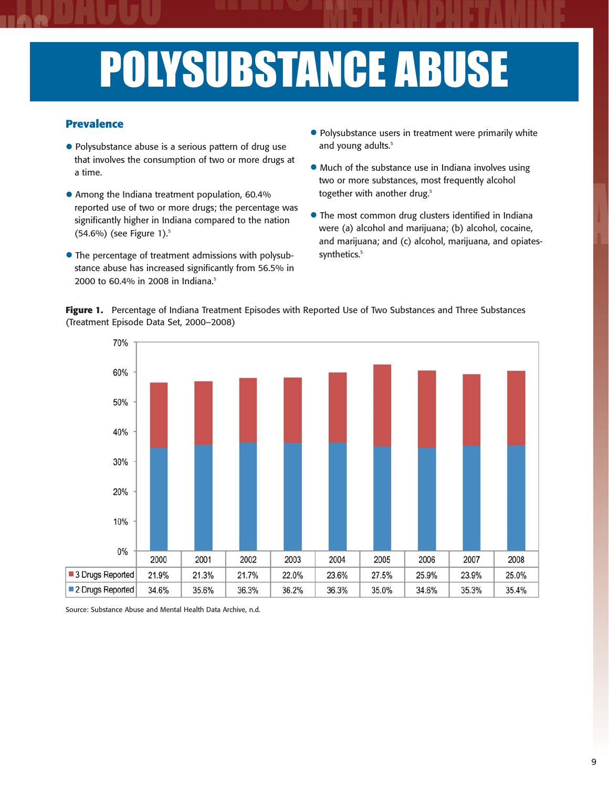## POLYSUBSTANCE ABUSE

#### **Prevalence**

- Polysubstance abuse is a serious pattern of drug use that involves the consumption of two or more drugs at a time.
- Among the Indiana treatment population, 60.4% reported use of two or more drugs; the percentage was significantly higher in Indiana compared to the nation (54.6%) (see Figure 1).<sup>5</sup>
- The percentage of treatment admissions with polysubstance abuse has increased significantly from 56.5% in 2000 to 60.4% in 2008 in Indiana.<sup>5</sup>
- Polysubstance users in treatment were primarily white and young adults.<sup>5</sup>
- Much of the substance use in Indiana involves using two or more substances, most frequently alcohol together with another drug.<sup>5</sup>
- The most common drug clusters identified in Indiana were (a) alcohol and marijuana; (b) alcohol, cocaine, and marijuana; and (c) alcohol, marijuana, and opiatessynthetics.<sup>5</sup>



**Figure 1.** Percentage of Indiana Treatment Episodes with Reported Use of Two Substances and Three Substances (Treatment Episode Data Set, 2000–2008)

Source: Substance Abuse and Mental Health Data Archive, n.d.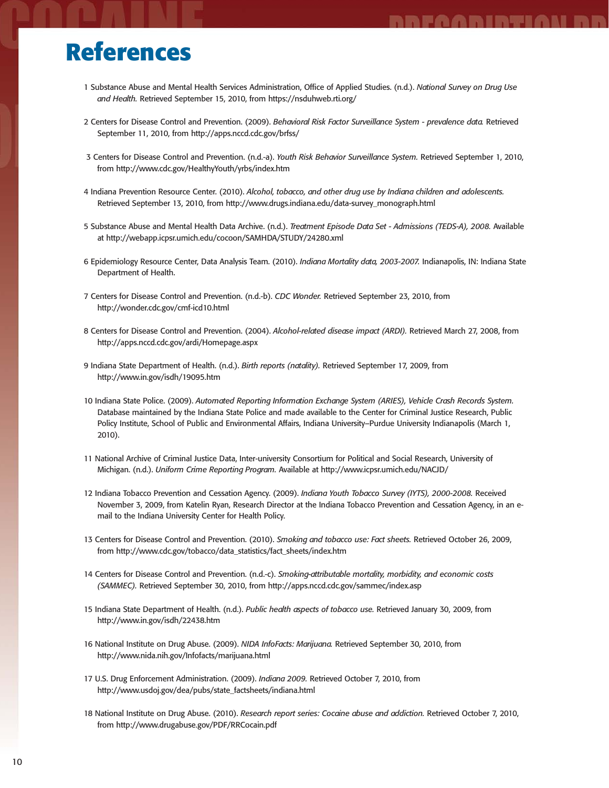### **References**

1 Substance Abuse and Mental Health Services Administration, Office of Applied Studies. (n.d.). *National Survey on Drug Use and Health.* Retrieved September 15, 2010, from https://nsduhweb.rti.org/

FAARIRTIAN RR

- 2 Centers for Disease Control and Prevention. (2009). *Behavioral Risk Factor Surveillance System prevalence data.* Retrieved September 11, 2010, from http://apps.nccd.cdc.gov/brfss/
- 3 Centers for Disease Control and Prevention. (n.d.-a). *Youth Risk Behavior Surveillance System.* Retrieved September 1, 2010, from http://www.cdc.gov/HealthyYouth/yrbs/index.htm
- 4 Indiana Prevention Resource Center. (2010). *Alcohol, tobacco, and other drug use by Indiana children and adolescents.* Retrieved September 13, 2010, from http://www.drugs.indiana.edu/data-survey\_monograph.html
- 5 Substance Abuse and Mental Health Data Archive. (n.d.). *Treatment Episode Data Set Admissions (TEDS-A), 2008.* Available at http://webapp.icpsr.umich.edu/cocoon/SAMHDA/STUDY/24280.xml
- 6 Epidemiology Resource Center, Data Analysis Team. (2010). *Indiana Mortality data, 2003-2007.* Indianapolis, IN: Indiana State Department of Health.
- 7 Centers for Disease Control and Prevention. (n.d.-b). *CDC Wonder.* Retrieved September 23, 2010, from http://wonder.cdc.gov/cmf-icd10.html
- 8 Centers for Disease Control and Prevention. (2004). *Alcohol-related disease impact (ARDI).* Retrieved March 27, 2008, from http://apps.nccd.cdc.gov/ardi/Homepage.aspx
- 9 Indiana State Department of Health. (n.d.). *Birth reports (natality).* Retrieved September 17, 2009, from http://www.in.gov/isdh/19095.htm
- 10 Indiana State Police. (2009). *Automated Reporting Information Exchange System (ARIES), Vehicle Crash Records System.* Database maintained by the Indiana State Police and made available to the Center for Criminal Justice Research, Public Policy Institute, School of Public and Environmental Affairs, Indiana University–Purdue University Indianapolis (March 1, 2010).
- 11 National Archive of Criminal Justice Data, Inter-university Consortium for Political and Social Research, University of Michigan. (n.d.). *Uniform Crime Reporting Program.* Available at http://www.icpsr.umich.edu/NACJD/
- 12 Indiana Tobacco Prevention and Cessation Agency. (2009). *Indiana Youth Tobacco Survey (IYTS), 2000-2008.* Received November 3, 2009, from Katelin Ryan, Research Director at the Indiana Tobacco Prevention and Cessation Agency, in an email to the Indiana University Center for Health Policy.
- 13 Centers for Disease Control and Prevention. (2010). *Smoking and tobacco use: Fact sheets.* Retrieved October 26, 2009, from http://www.cdc.gov/tobacco/data\_statistics/fact\_sheets/index.htm
- 14 Centers for Disease Control and Prevention. (n.d.-c). *Smoking-attributable mortality, morbidity, and economic costs (SAMMEC).* Retrieved September 30, 2010, from http://apps.nccd.cdc.gov/sammec/index.asp
- 15 Indiana State Department of Health. (n.d.). *Public health aspects of tobacco use.* Retrieved January 30, 2009, from http://www.in.gov/isdh/22438.htm
- 16 National Institute on Drug Abuse. (2009). *NIDA InfoFacts: Marijuana.* Retrieved September 30, 2010, from http://www.nida.nih.gov/Infofacts/marijuana.html
- 17 U.S. Drug Enforcement Administration. (2009). *Indiana 2009.* Retrieved October 7, 2010, from http://www.usdoj.gov/dea/pubs/state\_factsheets/indiana.html
- 18 National Institute on Drug Abuse. (2010). *Research report series: Cocaine abuse and addiction.* Retrieved October 7, 2010, from http://www.drugabuse.gov/PDF/RRCocain.pdf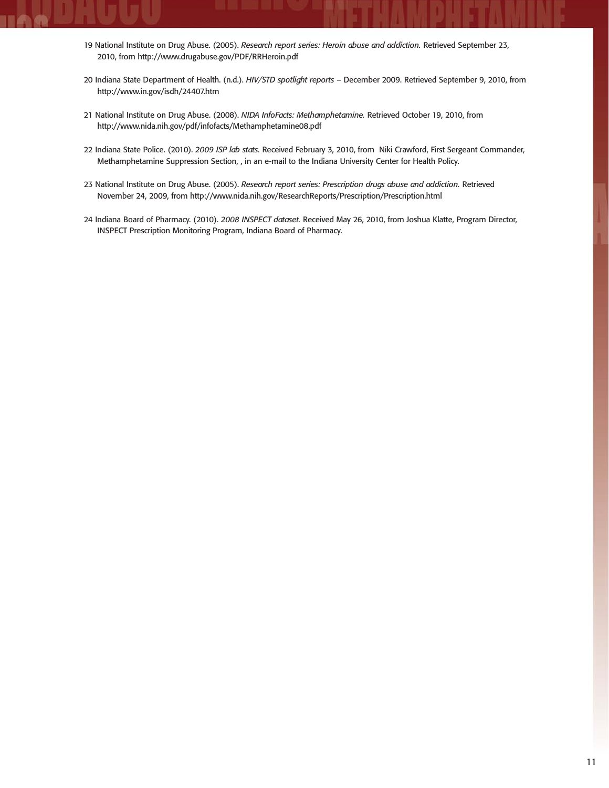- 19 National Institute on Drug Abuse. (2005). *Research report series: Heroin abuse and addiction.* Retrieved September 23, 2010, from http://www.drugabuse.gov/PDF/RRHeroin.pdf
- 20 Indiana State Department of Health. (n.d.). *HIV/STD spotlight reports*  December 2009. Retrieved September 9, 2010, from http://www.in.gov/isdh/24407.htm
- 21 National Institute on Drug Abuse. (2008). *NIDA InfoFacts: Methamphetamine.* Retrieved October 19, 2010, from http://www.nida.nih.gov/pdf/infofacts/Methamphetamine08.pdf
- 22 Indiana State Police. (2010). *2009 ISP lab stats.* Received February 3, 2010, from Niki Crawford, First Sergeant Commander, Methamphetamine Suppression Section, , in an e-mail to the Indiana University Center for Health Policy.
- 23 National Institute on Drug Abuse. (2005). *Research report series: Prescription drugs abuse and addiction*. Retrieved November 24, 2009, from http://www.nida.nih.gov/ResearchReports/Prescription/Prescription.html
- 24 Indiana Board of Pharmacy. (2010). *2008 INSPECT dataset.* Received May 26, 2010, from Joshua Klatte, Program Director, INSPECT Prescription Monitoring Program, Indiana Board of Pharmacy.